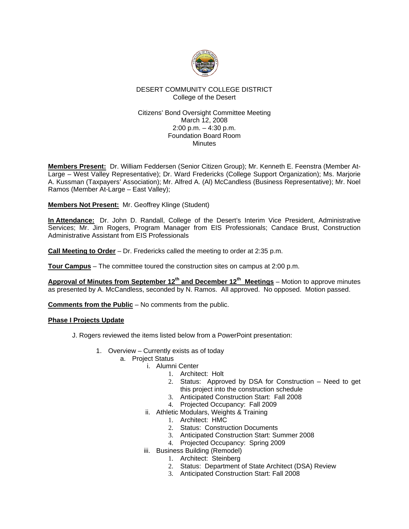

## DESERT COMMUNITY COLLEGE DISTRICT College of the Desert

#### Citizens' Bond Oversight Committee Meeting March 12, 2008 2:00 p.m. – 4:30 p.m. Foundation Board Room **Minutes**

**Members Present:** Dr. William Feddersen (Senior Citizen Group); Mr. Kenneth E. Feenstra (Member At-Large – West Valley Representative); Dr. Ward Fredericks (College Support Organization); Ms. Marjorie A. Kussman (Taxpayers' Association); Mr. Alfred A. (Al) McCandless (Business Representative); Mr. Noel Ramos (Member At-Large – East Valley);

**Members Not Present:** Mr. Geoffrey Klinge (Student)

**In Attendance:** Dr. John D. Randall, College of the Desert's Interim Vice President, Administrative Services; Mr. Jim Rogers, Program Manager from EIS Professionals; Candace Brust, Construction Administrative Assistant from EIS Professionals

**Call Meeting to Order** – Dr. Fredericks called the meeting to order at 2:35 p.m.

**Tour Campus** – The committee toured the construction sites on campus at 2:00 p.m.

Approval of Minutes from September 12<sup>th</sup> and December 12<sup>th</sup> Meetings – Motion to approve minutes as presented by A. McCandless, seconded by N. Ramos. All approved. No opposed. Motion passed.

**Comments from the Public** – No comments from the public.

#### **Phase I Projects Update**

- J. Rogers reviewed the items listed below from a PowerPoint presentation:
	- 1. Overview Currently exists as of today
		- a. Project Status
			- i. Alumni Center
				- 1. Architect: Holt
				- 2. Status: Approved by DSA for Construction Need to get this project into the construction schedule
				- 3. Anticipated Construction Start: Fall 2008
				- 4. Projected Occupancy: Fall 2009
			- ii. Athletic Modulars, Weights & Training
				- 1. Architect: HMC
				- 2. Status: Construction Documents
				- 3. Anticipated Construction Start: Summer 2008
				- 4. Projected Occupancy: Spring 2009
			- iii. Business Building (Remodel)
				- 1. Architect: Steinberg
					- 2. Status: Department of State Architect (DSA) Review
					- 3. Anticipated Construction Start: Fall 2008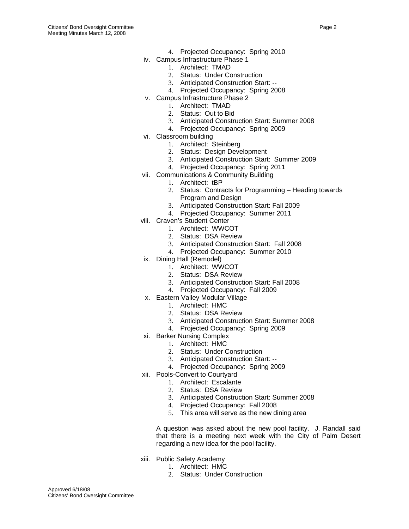- 4. Projected Occupancy: Spring 2010
- iv. Campus Infrastructure Phase 1
	- 1. Architect: TMAD
	- 2. Status: Under Construction
	- 3. Anticipated Construction Start: --
	- 4. Projected Occupancy: Spring 2008
- v. Campus Infrastructure Phase 2
	- 1. Architect: TMAD
		- 2. Status: Out to Bid
		- 3. Anticipated Construction Start: Summer 2008
		- 4. Projected Occupancy: Spring 2009
- vi. Classroom building
	- 1. Architect: Steinberg
	- 2. Status: Design Development
	- 3. Anticipated Construction Start: Summer 2009
	- 4. Projected Occupancy: Spring 2011
- vii. Communications & Community Building
	- 1. Architect: tBP
		- 2. Status: Contracts for Programming Heading towards Program and Design
		- 3. Anticipated Construction Start: Fall 2009
		- 4. Projected Occupancy: Summer 2011
- viii. Craven's Student Center
	- 1. Architect: WWCOT
	- 2. Status: DSA Review
	- 3. Anticipated Construction Start: Fall 2008
	- 4. Projected Occupancy: Summer 2010
- ix. Dining Hall (Remodel)
	- 1. Architect: WWCOT
	- 2. Status: DSA Review
	- 3. Anticipated Construction Start: Fall 2008
	- 4. Projected Occupancy: Fall 2009
- x. Eastern Valley Modular Village
	- 1. Architect: HMC
		- 2. Status: DSA Review
		- 3. Anticipated Construction Start: Summer 2008
		- 4. Projected Occupancy: Spring 2009
- xi. Barker Nursing Complex
	- 1. Architect: HMC
	- 2. Status: Under Construction
	- 3. Anticipated Construction Start: --
	- 4. Projected Occupancy: Spring 2009
- xii. Pools-Convert to Courtyard
	- 1. Architect: Escalante
	- 2. Status: DSA Review
	- 3. Anticipated Construction Start: Summer 2008
	- 4. Projected Occupancy: Fall 2008
	- 5. This area will serve as the new dining area

A question was asked about the new pool facility. J. Randall said that there is a meeting next week with the City of Palm Desert regarding a new idea for the pool facility.

- xiii. Public Safety Academy
	- 1. Architect: HMC
	- 2. Status: Under Construction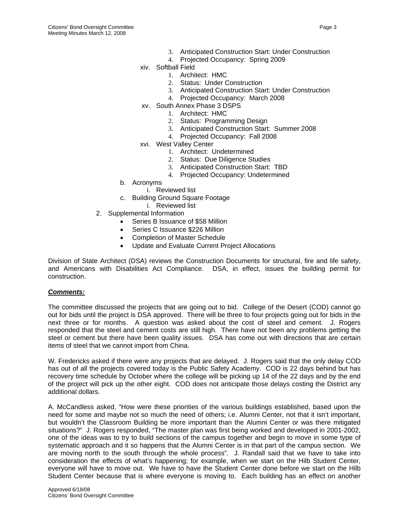- 3. Anticipated Construction Start: Under Construction
- 4. Projected Occupancy: Spring 2009
- xiv. Softball Field
	- 1. Architect: HMC
	- 2. Status: Under Construction
	- 3. Anticipated Construction Start: Under Construction
	- 4. Projected Occupancy: March 2008
- xv. South Annex Phase 3 DSPS
	- 1. Architect: HMC
	- 2. Status: Programming Design
	- 3. Anticipated Construction Start: Summer 2008
	- 4. Projected Occupancy: Fall 2008
- xvi. West Valley Center
	- 1. Architect: Undetermined
	- 2. Status: Due Diligence Studies
	- 3. Anticipated Construction Start: TBD
	- 4. Projected Occupancy: Undetermined
- b. Acronyms
	- i. Reviewed list
- c. Building Ground Square Footage
	- i. Reviewed list
- 2. Supplemental Information
	- Series B Issuance of \$58 Million
	- Series C Issuance \$226 Million
	- Completion of Master Schedule
	- Update and Evaluate Current Project Allocations

Division of State Architect (DSA) reviews the Construction Documents for structural, fire and life safety, and Americans with Disabilities Act Compliance. DSA, in effect, issues the building permit for construction.

#### *Comments:*

The committee discussed the projects that are going out to bid. College of the Desert (COD) cannot go out for bids until the project is DSA approved. There will be three to four projects going out for bids in the next three or for months. A question was asked about the cost of steel and cement. J. Rogers responded that the steel and cement costs are still high. There have not been any problems getting the steel or cement but there have been quality issues. DSA has come out with directions that are certain items of steel that we cannot import from China.

W. Fredericks asked if there were any projects that are delayed. J. Rogers said that the only delay COD has out of all the projects covered today is the Public Safety Academy. COD is 22 days behind but has recovery time schedule by October where the college will be picking up 14 of the 22 days and by the end of the project will pick up the other eight. COD does not anticipate those delays costing the District any additional dollars.

A. McCandless asked, "How were these priorities of the various buildings established, based upon the need for some and maybe not so much the need of others; i.e. Alumni Center, not that it isn't important, but wouldn't the Classroom Building be more important than the Alumni Center or was there mitigated situations?" J. Rogers responded, "The master plan was first being worked and developed in 2001-2002, one of the ideas was to try to build sections of the campus together and begin to move in some type of systematic approach and it so happens that the Alumni Center is in that part of the campus section. We are moving north to the south through the whole process". J. Randall said that we have to take into consideration the effects of what's happening; for example, when we start on the Hilb Student Center, everyone will have to move out. We have to have the Student Center done before we start on the Hilb Student Center because that is where everyone is moving to. Each building has an effect on another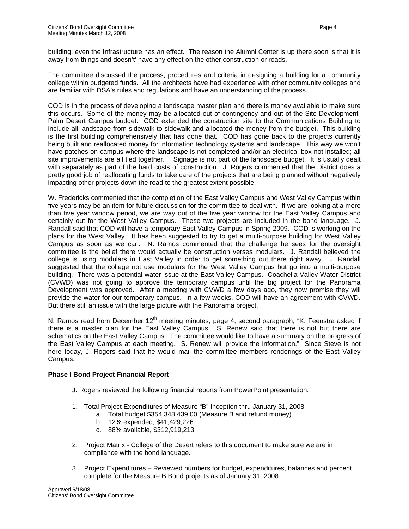building; even the Infrastructure has an effect. The reason the Alumni Center is up there soon is that it is away from things and doesn't' have any effect on the other construction or roads.

The committee discussed the process, procedures and criteria in designing a building for a community college within budgeted funds. All the architects have had experience with other community colleges and are familiar with DSA's rules and regulations and have an understanding of the process.

COD is in the process of developing a landscape master plan and there is money available to make sure this occurs. Some of the money may be allocated out of contingency and out of the Site Development-Palm Desert Campus budget. COD extended the construction site to the Communications Building to include all landscape from sidewalk to sidewalk and allocated the money from the budget. This building is the first building comprehensively that has done that. COD has gone back to the projects currently being built and reallocated money for information technology systems and landscape. This way we won't have patches on campus where the landscape is not completed and/or an electrical box not installed; all site improvements are all tied together. Signage is not part of the landscape budget. It is usually dealt with separately as part of the hard costs of construction. J. Rogers commented that the District does a pretty good job of reallocating funds to take care of the projects that are being planned without negatively impacting other projects down the road to the greatest extent possible.

W. Fredericks commented that the completion of the East Valley Campus and West Valley Campus within five years may be an item for future discussion for the committee to deal with. If we are looking at a more than five year window period, we are way out of the five year window for the East Valley Campus and certainly out for the West Valley Campus. These two projects are included in the bond language. J. Randall said that COD will have a temporary East Valley Campus in Spring 2009. COD is working on the plans for the West Valley. It has been suggested to try to get a multi-purpose building for West Valley Campus as soon as we can. N. Ramos commented that the challenge he sees for the oversight committee is the belief there would actually be construction verses modulars. J. Randall believed the college is using modulars in East Valley in order to get something out there right away. J. Randall suggested that the college not use modulars for the West Valley Campus but go into a multi-purpose building. There was a potential water issue at the East Valley Campus. Coachella Valley Water District (CVWD) was not going to approve the temporary campus until the big project for the Panorama Development was approved. After a meeting with CVWD a few days ago, they now promise they will provide the water for our temporary campus. In a few weeks, COD will have an agreement with CVWD. But there still an issue with the large picture with the Panorama project.

N. Ramos read from December 12<sup>th</sup> meeting minutes; page 4, second paragraph, "K. Feenstra asked if there is a master plan for the East Valley Campus. S. Renew said that there is not but there are schematics on the East Valley Campus. The committee would like to have a summary on the progress of the East Valley Campus at each meeting. S. Renew will provide the information." Since Steve is not here today, J. Rogers said that he would mail the committee members renderings of the East Valley Campus.

# **Phase I Bond Project Financial Report**

- J. Rogers reviewed the following financial reports from PowerPoint presentation:
- 1. Total Project Expenditures of Measure "B" Inception thru January 31, 2008
	- a. Total budget \$354,348,439.00 (Measure B and refund money)
		- b. 12% expended, \$41,429,226
		- c. 88% available, \$312,919,213
- 2. Project Matrix College of the Desert refers to this document to make sure we are in compliance with the bond language.
- 3. Project Expenditures Reviewed numbers for budget, expenditures, balances and percent complete for the Measure B Bond projects as of January 31, 2008.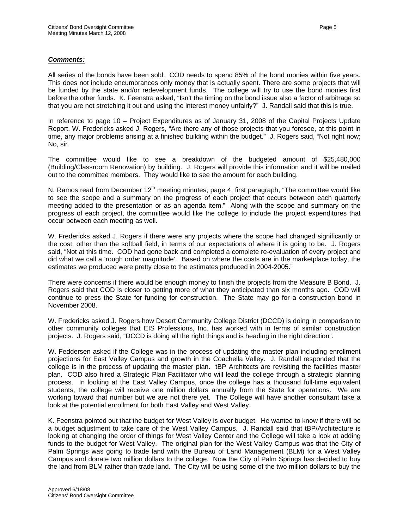## *Comments:*

All series of the bonds have been sold. COD needs to spend 85% of the bond monies within five years. This does not include encumbrances only money that is actually spent. There are some projects that will be funded by the state and/or redevelopment funds. The college will try to use the bond monies first before the other funds. K. Feenstra asked, "Isn't the timing on the bond issue also a factor of arbitrage so that you are not stretching it out and using the interest money unfairly?" J. Randall said that this is true.

In reference to page 10 – Project Expenditures as of January 31, 2008 of the Capital Projects Update Report, W. Fredericks asked J. Rogers, "Are there any of those projects that you foresee, at this point in time, any major problems arising at a finished building within the budget." J. Rogers said, "Not right now; No, sir.

The committee would like to see a breakdown of the budgeted amount of \$25,480,000 (Building/Classroom Renovation) by building. J. Rogers will provide this information and it will be mailed out to the committee members. They would like to see the amount for each building.

N. Ramos read from December  $12<sup>th</sup>$  meeting minutes; page 4, first paragraph, "The committee would like to see the scope and a summary on the progress of each project that occurs between each quarterly meeting added to the presentation or as an agenda item." Along with the scope and summary on the progress of each project, the committee would like the college to include the project expenditures that occur between each meeting as well.

W. Fredericks asked J. Rogers if there were any projects where the scope had changed significantly or the cost, other than the softball field, in terms of our expectations of where it is going to be. J. Rogers said, "Not at this time. COD had gone back and completed a complete re-evaluation of every project and did what we call a 'rough order magnitude'. Based on where the costs are in the marketplace today, the estimates we produced were pretty close to the estimates produced in 2004-2005."

There were concerns if there would be enough money to finish the projects from the Measure B Bond. J. Rogers said that COD is closer to getting more of what they anticipated than six months ago. COD will continue to press the State for funding for construction. The State may go for a construction bond in November 2008.

W. Fredericks asked J. Rogers how Desert Community College District (DCCD) is doing in comparison to other community colleges that EIS Professions, Inc. has worked with in terms of similar construction projects. J. Rogers said, "DCCD is doing all the right things and is heading in the right direction".

W. Feddersen asked if the College was in the process of updating the master plan including enrollment projections for East Valley Campus and growth in the Coachella Valley. J. Randall responded that the college is in the process of updating the master plan. tBP Architects are revisiting the facilities master plan. COD also hired a Strategic Plan Facilitator who will lead the college through a strategic planning process. In looking at the East Valley Campus, once the college has a thousand full-time equivalent students, the college will receive one million dollars annually from the State for operations. We are working toward that number but we are not there yet. The College will have another consultant take a look at the potential enrollment for both East Valley and West Valley.

K. Feenstra pointed out that the budget for West Valley is over budget. He wanted to know if there will be a budget adjustment to take care of the West Valley Campus. J. Randall said that tBP/Architecture is looking at changing the order of things for West Valley Center and the College will take a look at adding funds to the budget for West Valley. The original plan for the West Valley Campus was that the City of Palm Springs was going to trade land with the Bureau of Land Management (BLM) for a West Valley Campus and donate two million dollars to the college. Now the City of Palm Springs has decided to buy the land from BLM rather than trade land. The City will be using some of the two million dollars to buy the